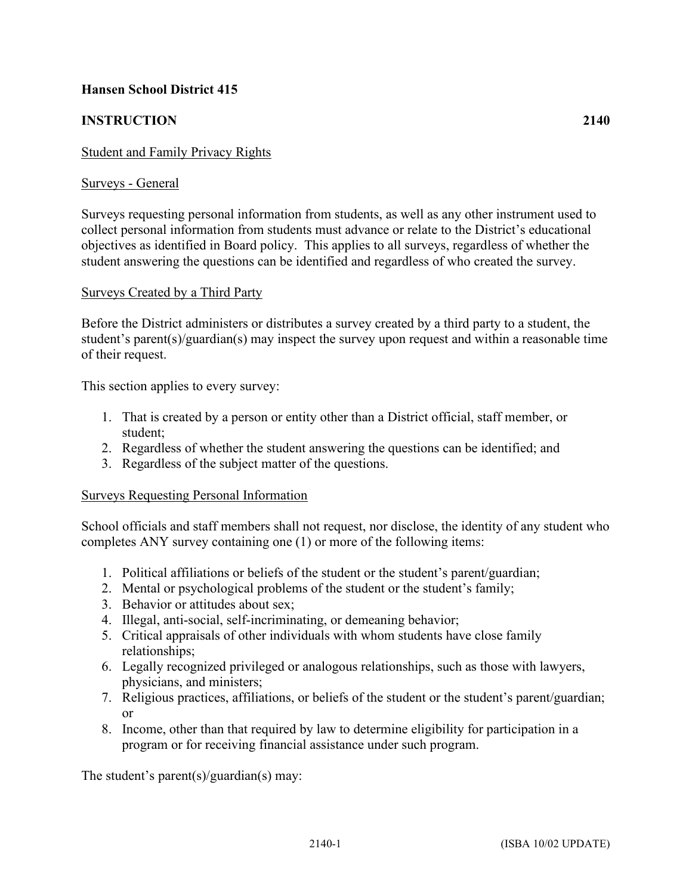# **Hansen School District 415**

# **INSTRUCTION 2140**

### Student and Family Privacy Rights

#### Surveys - General

Surveys requesting personal information from students, as well as any other instrument used to collect personal information from students must advance or relate to the District's educational objectives as identified in Board policy. This applies to all surveys, regardless of whether the student answering the questions can be identified and regardless of who created the survey.

#### Surveys Created by a Third Party

Before the District administers or distributes a survey created by a third party to a student, the student's parent(s)/guardian(s) may inspect the survey upon request and within a reasonable time of their request.

This section applies to every survey:

- 1. That is created by a person or entity other than a District official, staff member, or student;
- 2. Regardless of whether the student answering the questions can be identified; and
- 3. Regardless of the subject matter of the questions.

#### Surveys Requesting Personal Information

School officials and staff members shall not request, nor disclose, the identity of any student who completes ANY survey containing one (1) or more of the following items:

- 1. Political affiliations or beliefs of the student or the student's parent/guardian;
- 2. Mental or psychological problems of the student or the student's family;
- 3. Behavior or attitudes about sex;
- 4. Illegal, anti-social, self-incriminating, or demeaning behavior;
- 5. Critical appraisals of other individuals with whom students have close family relationships;
- 6. Legally recognized privileged or analogous relationships, such as those with lawyers, physicians, and ministers;
- 7. Religious practices, affiliations, or beliefs of the student or the student's parent/guardian; or
- 8. Income, other than that required by law to determine eligibility for participation in a program or for receiving financial assistance under such program.

The student's parent(s)/guardian(s) may: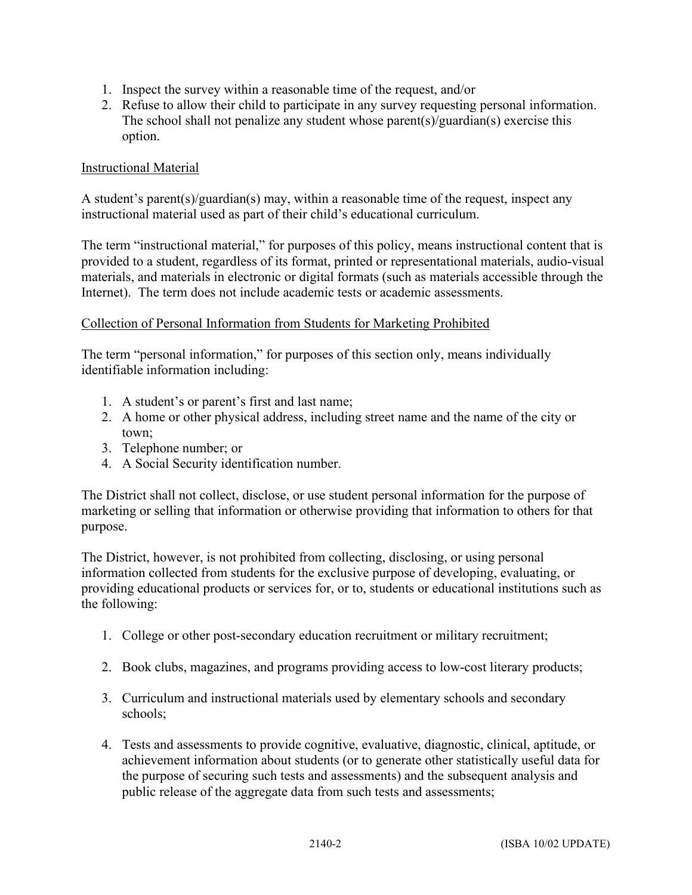- 1. Inspect the survey within a reasonable time of the request, and/or
- 2. Refuse to allow their child to participate in any survey requesting personal information. The school shall not penalize any student whose parent(s)/guardian(s) exercise this option.

## Instructional Material

A student's parent(s)/guardian(s) may, within a reasonable time of the request, inspect any instructional material used as part of their child's educational curriculum.

The term "instructional material," for purposes of this policy, means instructional content that is provided to a student, regardless of its format, printed or representational materials, audio-visual materials, and materials in electronic or digital formats (such as materials accessible through the Internet). The term does not include academic tests or academic assessments.

### Collection of Personal Information from Students for Marketing Prohibited

The term "personal information," for purposes of this section only, means individually identifiable information including:

- 1. A student's or parent's first and last name;
- 2. A home or other physical address, including street name and the name of the city or town;
- 3. Telephone number; or
- 4. A Social Security identification number.

The District shall not collect, disclose, or use student personal information for the purpose of marketing or selling that information or otherwise providing that information to others for that purpose.

The District, however, is not prohibited from collecting, disclosing, or using personal information collected from students for the exclusive purpose of developing, evaluating, or providing educational products or services for, or to, students or educational institutions such as the following:

- 1. College or other post-secondary education recruitment or military recruitment;
- 2. Book clubs, magazines, and programs providing access to low-cost literary products;
- 3. Curriculum and instructional materials used by elementary schools and secondary schools;
- 4. Tests and assessments to provide cognitive, evaluative, diagnostic, clinical, aptitude, or achievement information about students (or to generate other statistically useful data for the purpose of securing such tests and assessments) and the subsequent analysis and public release of the aggregate data from such tests and assessments;